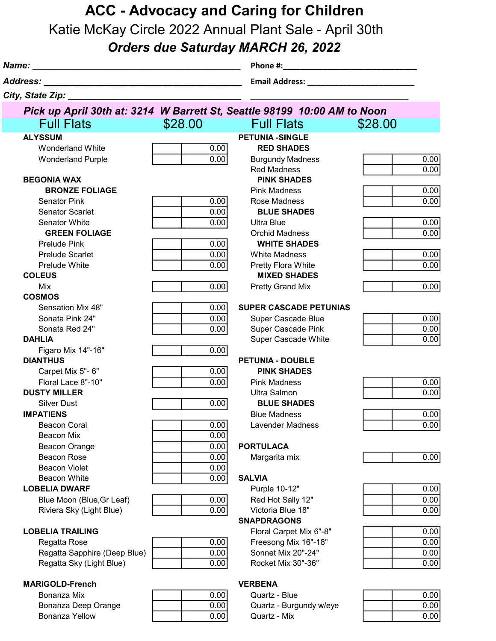## ACC - Advocacy and Caring for Children

Katie McKay Circle 2022 Annual Plant Sale - April 30th

## Orders due Saturday MARCH 26, 2022

| Name:<br><u> 1980 - Johann John Stein, marwolaeth a bhann an t-Albann an t-Albann an t-Albann an t-Albann an t-Albann an t-Albann an t-Albann an t-Albann an t-Albann an t-Albann an t-Albann an t-Albann an t-Albann an t-Albann an t-Al</u><br>Address:<br><u> 1989 - Johann Stein, marwolaethau a bhann an t-Albann an t-Albann an t-Albann an t-Albann an t-Albann an t-Alb</u> |              |                                                 |              |
|-------------------------------------------------------------------------------------------------------------------------------------------------------------------------------------------------------------------------------------------------------------------------------------------------------------------------------------------------------------------------------------|--------------|-------------------------------------------------|--------------|
|                                                                                                                                                                                                                                                                                                                                                                                     |              |                                                 |              |
| City, State Zip: <b>City</b> State Zip:                                                                                                                                                                                                                                                                                                                                             |              |                                                 |              |
| Pick up April 30th at: 3214 W Barrett St, Seattle 98199 10:00 AM to Noon                                                                                                                                                                                                                                                                                                            |              |                                                 |              |
| <b>Full Flats</b>                                                                                                                                                                                                                                                                                                                                                                   | \$28.00      | <b>Full Flats</b>                               | \$28.00      |
| <b>ALYSSUM</b>                                                                                                                                                                                                                                                                                                                                                                      |              | <b>PETUNIA -SINGLE</b>                          |              |
| <b>Wonderland White</b>                                                                                                                                                                                                                                                                                                                                                             | 0.00         | <b>RED SHADES</b>                               |              |
| <b>Wonderland Purple</b>                                                                                                                                                                                                                                                                                                                                                            | 0.00         | <b>Burgundy Madness</b>                         | 0.00         |
|                                                                                                                                                                                                                                                                                                                                                                                     |              | <b>Red Madness</b>                              | 0.00         |
| <b>BEGONIA WAX</b>                                                                                                                                                                                                                                                                                                                                                                  |              | <b>PINK SHADES</b>                              |              |
| <b>BRONZE FOLIAGE</b>                                                                                                                                                                                                                                                                                                                                                               |              | <b>Pink Madness</b>                             | 0.00         |
| <b>Senator Pink</b>                                                                                                                                                                                                                                                                                                                                                                 | 0.00         | Rose Madness                                    | 0.00         |
| <b>Senator Scarlet</b>                                                                                                                                                                                                                                                                                                                                                              | 0.00         | <b>BLUE SHADES</b>                              |              |
| <b>Senator White</b>                                                                                                                                                                                                                                                                                                                                                                | 0.00         | <b>Ultra Blue</b>                               | 0.00         |
| <b>GREEN FOLIAGE</b>                                                                                                                                                                                                                                                                                                                                                                |              | <b>Orchid Madness</b>                           | 0.00         |
| <b>Prelude Pink</b>                                                                                                                                                                                                                                                                                                                                                                 | 0.00         | <b>WHITE SHADES</b>                             |              |
| <b>Prelude Scarlet</b>                                                                                                                                                                                                                                                                                                                                                              | 0.00         | <b>White Madness</b>                            | 0.00         |
| <b>Prelude White</b>                                                                                                                                                                                                                                                                                                                                                                | 0.00         | Pretty Flora White                              | 0.00         |
| <b>COLEUS</b>                                                                                                                                                                                                                                                                                                                                                                       |              | <b>MIXED SHADES</b>                             |              |
| Mix                                                                                                                                                                                                                                                                                                                                                                                 | 0.00         | <b>Pretty Grand Mix</b>                         | 0.00         |
| <b>COSMOS</b>                                                                                                                                                                                                                                                                                                                                                                       |              |                                                 |              |
| Sensation Mix 48"                                                                                                                                                                                                                                                                                                                                                                   | 0.00         | <b>SUPER CASCADE PETUNIAS</b>                   |              |
| Sonata Pink 24"                                                                                                                                                                                                                                                                                                                                                                     | 0.00         | Super Cascade Blue                              | 0.00         |
| Sonata Red 24"                                                                                                                                                                                                                                                                                                                                                                      | 0.00         | <b>Super Cascade Pink</b>                       | 0.00         |
| <b>DAHLIA</b>                                                                                                                                                                                                                                                                                                                                                                       |              | Super Cascade White                             | 0.00         |
| Figaro Mix 14"-16"                                                                                                                                                                                                                                                                                                                                                                  | 0.00         |                                                 |              |
| <b>DIANTHUS</b>                                                                                                                                                                                                                                                                                                                                                                     |              | <b>PETUNIA - DOUBLE</b>                         |              |
| Carpet Mix 5"- 6"                                                                                                                                                                                                                                                                                                                                                                   | 0.00         | <b>PINK SHADES</b>                              |              |
| Floral Lace 8"-10"                                                                                                                                                                                                                                                                                                                                                                  | 0.00         | <b>Pink Madness</b>                             | 0.00         |
| <b>DUSTY MILLER</b>                                                                                                                                                                                                                                                                                                                                                                 |              | <b>Ultra Salmon</b>                             | 0.00         |
| <b>Silver Dust</b>                                                                                                                                                                                                                                                                                                                                                                  | 0.00         | <b>BLUE SHADES</b>                              |              |
| <b>IMPATIENS</b>                                                                                                                                                                                                                                                                                                                                                                    |              | <b>Blue Madness</b>                             | 0.00         |
| <b>Beacon Coral</b>                                                                                                                                                                                                                                                                                                                                                                 | 0.00         | Lavender Madness                                | 0.00         |
| <b>Beacon Mix</b>                                                                                                                                                                                                                                                                                                                                                                   | 0.00         |                                                 |              |
| Beacon Orange                                                                                                                                                                                                                                                                                                                                                                       | 0.00         | <b>PORTULACA</b>                                |              |
| Beacon Rose                                                                                                                                                                                                                                                                                                                                                                         | 0.00         | Margarita mix                                   | 0.00         |
| <b>Beacon Violet</b>                                                                                                                                                                                                                                                                                                                                                                | 0.00         |                                                 |              |
| Beacon White                                                                                                                                                                                                                                                                                                                                                                        | 0.00         | <b>SALVIA</b>                                   |              |
| <b>LOBELIA DWARF</b>                                                                                                                                                                                                                                                                                                                                                                |              | Purple 10-12"                                   | 0.00         |
| Blue Moon (Blue, Gr Leaf)                                                                                                                                                                                                                                                                                                                                                           | 0.00         | Red Hot Sally 12"                               | 0.00         |
| Riviera Sky (Light Blue)                                                                                                                                                                                                                                                                                                                                                            | 0.00         | Victoria Blue 18"<br><b>SNAPDRAGONS</b>         | 0.00         |
|                                                                                                                                                                                                                                                                                                                                                                                     |              |                                                 |              |
| <b>LOBELIA TRAILING</b>                                                                                                                                                                                                                                                                                                                                                             | 0.00         | Floral Carpet Mix 6"-8"<br>Freesong Mix 16"-18" | 0.00<br>0.00 |
| Regatta Rose                                                                                                                                                                                                                                                                                                                                                                        |              | Sonnet Mix 20"-24"                              | 0.00         |
| Regatta Sapphire (Deep Blue)<br>Regatta Sky (Light Blue)                                                                                                                                                                                                                                                                                                                            | 0.00<br>0.00 | Rocket Mix 30"-36"                              | 0.00         |
|                                                                                                                                                                                                                                                                                                                                                                                     |              |                                                 |              |
| <b>MARIGOLD-French</b>                                                                                                                                                                                                                                                                                                                                                              |              | <b>VERBENA</b>                                  |              |
| Bonanza Mix                                                                                                                                                                                                                                                                                                                                                                         | 0.00         | Quartz - Blue                                   | 0.00         |
| Bonanza Deep Orange                                                                                                                                                                                                                                                                                                                                                                 | 0.00         | Quartz - Burgundy w/eye                         | 0.00         |
| Bonanza Yellow                                                                                                                                                                                                                                                                                                                                                                      | 0.00         | Quartz - Mix                                    | 0.00         |